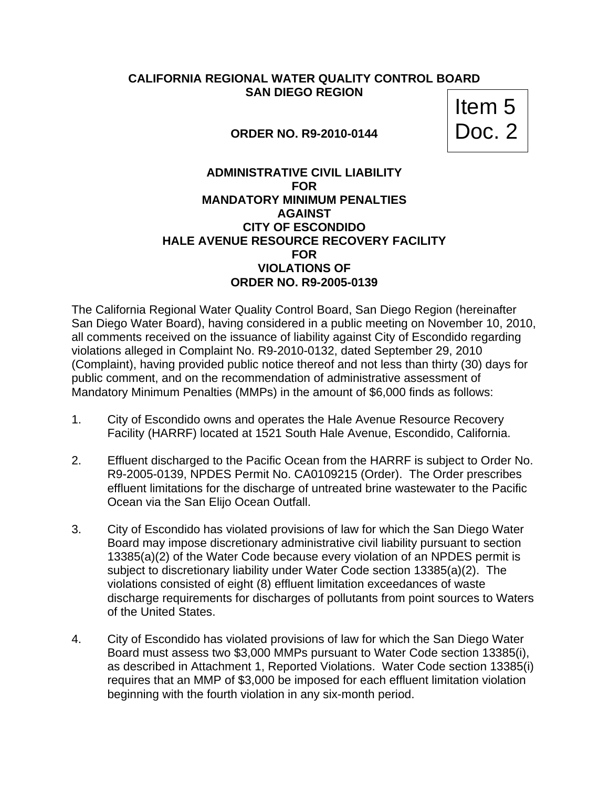## **CALIFORNIA REGIONAL WATER QUALITY CONTROL BOARD SAN DIEGO REGION**

**ORDER NO. R9-2010-0144** 

Item 5<br>Doc. 2

## **ADMINISTRATIVE CIVIL LIABILITY FOR MANDATORY MINIMUM PENALTIES AGAINST CITY OF ESCONDIDO HALE AVENUE RESOURCE RECOVERY FACILITY FOR VIOLATIONS OF ORDER NO. R9-2005-0139**

The California Regional Water Quality Control Board, San Diego Region (hereinafter San Diego Water Board), having considered in a public meeting on November 10, 2010, all comments received on the issuance of liability against City of Escondido regarding violations alleged in Complaint No. R9-2010-0132, dated September 29, 2010 (Complaint), having provided public notice thereof and not less than thirty (30) days for public comment, and on the recommendation of administrative assessment of Mandatory Minimum Penalties (MMPs) in the amount of \$6,000 finds as follows:

- 1. City of Escondido owns and operates the Hale Avenue Resource Recovery Facility (HARRF) located at 1521 South Hale Avenue, Escondido, California.
- 2. Effluent discharged to the Pacific Ocean from the HARRF is subject to Order No. R9-2005-0139, NPDES Permit No. CA0109215 (Order). The Order prescribes effluent limitations for the discharge of untreated brine wastewater to the Pacific Ocean via the San Elijo Ocean Outfall.
- 3. City of Escondido has violated provisions of law for which the San Diego Water Board may impose discretionary administrative civil liability pursuant to section 13385(a)(2) of the Water Code because every violation of an NPDES permit is subject to discretionary liability under Water Code section 13385(a)(2). The violations consisted of eight (8) effluent limitation exceedances of waste discharge requirements for discharges of pollutants from point sources to Waters of the United States.
- 4. City of Escondido has violated provisions of law for which the San Diego Water Board must assess two \$3,000 MMPs pursuant to Water Code section 13385(i), as described in Attachment 1, Reported Violations. Water Code section 13385(i) requires that an MMP of \$3,000 be imposed for each effluent limitation violation beginning with the fourth violation in any six-month period.